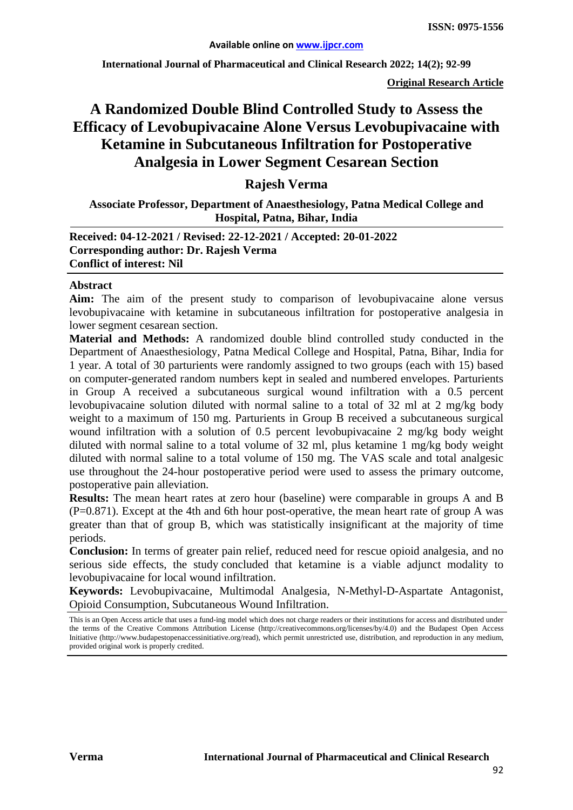**International Journal of Pharmaceutical and Clinical Research 2022; 14(2); 92-99**

**Original Research Article**

# **A Randomized Double Blind Controlled Study to Assess the Efficacy of Levobupivacaine Alone Versus Levobupivacaine with Ketamine in Subcutaneous Infiltration for Postoperative Analgesia in Lower Segment Cesarean Section**

#### **Rajesh Verma**

#### **Associate Professor, Department of Anaesthesiology, Patna Medical College and Hospital, Patna, Bihar, India**

#### **Received: 04-12-2021 / Revised: 22-12-2021 / Accepted: 20-01-2022 Corresponding author: Dr. Rajesh Verma Conflict of interest: Nil**

#### **Abstract**

**Aim:** The aim of the present study to comparison of levobupivacaine alone versus levobupivacaine with ketamine in subcutaneous infiltration for postoperative analgesia in lower segment cesarean section.

**Material and Methods:** A randomized double blind controlled study conducted in the Department of Anaesthesiology, Patna Medical College and Hospital, Patna, Bihar, India for 1 year. A total of 30 parturients were randomly assigned to two groups (each with 15) based on computer-generated random numbers kept in sealed and numbered envelopes. Parturients in Group A received a subcutaneous surgical wound infiltration with a 0.5 percent levobupivacaine solution diluted with normal saline to a total of 32 ml at 2 mg/kg body weight to a maximum of 150 mg. Parturients in Group B received a subcutaneous surgical wound infiltration with a solution of 0.5 percent levobupivacaine 2 mg/kg body weight diluted with normal saline to a total volume of 32 ml, plus ketamine 1 mg/kg body weight diluted with normal saline to a total volume of 150 mg. The VAS scale and total analgesic use throughout the 24-hour postoperative period were used to assess the primary outcome, postoperative pain alleviation.

**Results:** The mean heart rates at zero hour (baseline) were comparable in groups A and B  $(P=0.871)$ . Except at the 4th and 6th hour post-operative, the mean heart rate of group A was greater than that of group B, which was statistically insignificant at the majority of time periods.

**Conclusion:** In terms of greater pain relief, reduced need for rescue opioid analgesia, and no serious side effects, the study concluded that ketamine is a viable adjunct modality to levobupivacaine for local wound infiltration.

**Keywords:** Levobupivacaine, Multimodal Analgesia, N-Methyl-D-Aspartate Antagonist, Opioid Consumption, Subcutaneous Wound Infiltration.

This is an Open Access article that uses a fund-ing model which does not charge readers or their institutions for access and distributed under the terms of the Creative Commons Attribution License (http://creativecommons.org/licenses/by/4.0) and the Budapest Open Access Initiative (http://www.budapestopenaccessinitiative.org/read), which permit unrestricted use, distribution, and reproduction in any medium, provided original work is properly credited.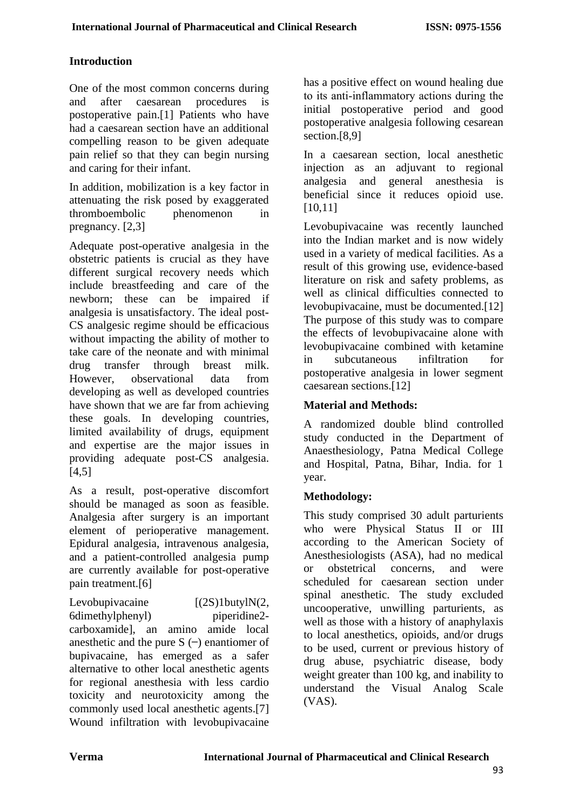# **Introduction**

One of the most common concerns during and after caesarean procedures is postoperative pain.[1] Patients who have had a caesarean section have an additional compelling reason to be given adequate pain relief so that they can begin nursing and caring for their infant.

In addition, mobilization is a key factor in attenuating the risk posed by exaggerated thromboembolic phenomenon in pregnancy. [2,3]

Adequate post-operative analgesia in the obstetric patients is crucial as they have different surgical recovery needs which include breastfeeding and care of the newborn; these can be impaired if analgesia is unsatisfactory. The ideal post-CS analgesic regime should be efficacious without impacting the ability of mother to take care of the neonate and with minimal drug transfer through breast milk. However, observational data from developing as well as developed countries have shown that we are far from achieving these goals. In developing countries, limited availability of drugs, equipment and expertise are the major issues in providing adequate post-CS analgesia.  $[4,5]$ 

As a result, post-operative discomfort should be managed as soon as feasible. Analgesia after surgery is an important element of perioperative management. Epidural analgesia, intravenous analgesia, and a patient-controlled analgesia pump are currently available for post-operative pain treatment.[6]

Levobupivacaine [(2S)1butylN(2,<br>6dimethylphenyl) pineridine2-6dimethylphenyl) carboxamide], an amino amide local anesthetic and the pure  $S$  (–) enantiomer of bupivacaine, has emerged as a safer alternative to other local anesthetic agents for regional anesthesia with less cardio toxicity and neurotoxicity among the commonly used local anesthetic agents.[7] Wound infiltration with levobupivacaine

has a positive effect on wound healing due to its anti‑inflammatory actions during the initial postoperative period and good postoperative analgesia following cesarean section.[8,9]

In a caesarean section, local anesthetic injection as an adjuvant to regional analgesia and general anesthesia is beneficial since it reduces opioid use. [10,11]

Levobupivacaine was recently launched into the Indian market and is now widely used in a variety of medical facilities. As a result of this growing use, evidence-based literature on risk and safety problems, as well as clinical difficulties connected to levobupivacaine, must be documented.[12] The purpose of this study was to compare the effects of levobupivacaine alone with levobupivacaine combined with ketamine in subcutaneous infiltration for postoperative analgesia in lower segment caesarean sections.[12]

# **Material and Methods:**

A randomized double blind controlled study conducted in the Department of Anaesthesiology, Patna Medical College and Hospital, Patna, Bihar, India. for 1 year.

# **Methodology:**

This study comprised 30 adult parturients who were Physical Status II or III according to the American Society of Anesthesiologists (ASA), had no medical or obstetrical concerns, and were scheduled for caesarean section under spinal anesthetic. The study excluded uncooperative, unwilling parturients, as well as those with a history of anaphylaxis to local anesthetics, opioids, and/or drugs to be used, current or previous history of drug abuse, psychiatric disease, body weight greater than 100 kg, and inability to understand the Visual Analog Scale (VAS).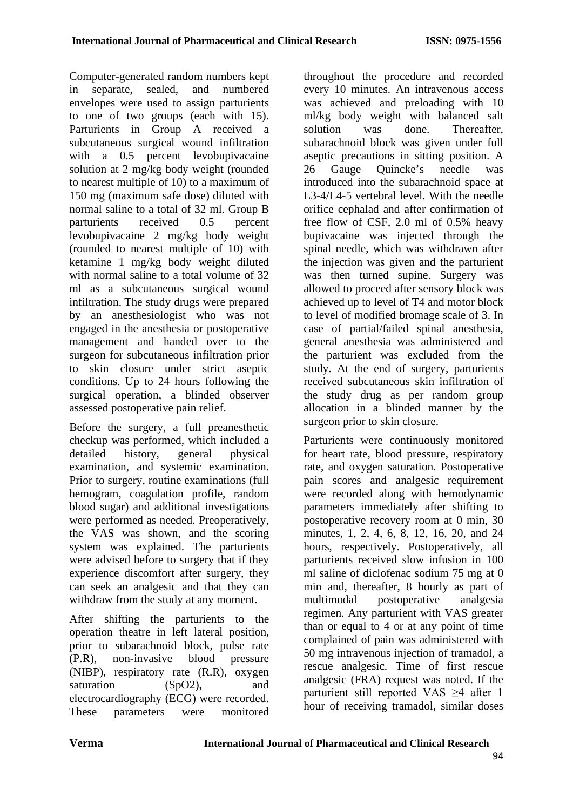Computer-generated random numbers kept in separate, sealed, and numbered envelopes were used to assign parturients to one of two groups (each with 15). Parturients in Group A received a subcutaneous surgical wound infiltration with a 0.5 percent levobupivacaine solution at 2 mg/kg body weight (rounded to nearest multiple of 10) to a maximum of 150 mg (maximum safe dose) diluted with normal saline to a total of 32 ml. Group B parturients received 0.5 percent levobupivacaine 2 mg/kg body weight (rounded to nearest multiple of 10) with ketamine 1 mg/kg body weight diluted with normal saline to a total volume of 32 ml as a subcutaneous surgical wound infiltration. The study drugs were prepared by an anesthesiologist who was not engaged in the anesthesia or postoperative management and handed over to the surgeon for subcutaneous infiltration prior to skin closure under strict aseptic conditions. Up to 24 hours following the surgical operation, a blinded observer assessed postoperative pain relief.

Before the surgery, a full preanesthetic checkup was performed, which included a detailed history, general physical examination, and systemic examination. Prior to surgery, routine examinations (full hemogram, coagulation profile, random blood sugar) and additional investigations were performed as needed. Preoperatively, the VAS was shown, and the scoring system was explained. The parturients were advised before to surgery that if they experience discomfort after surgery, they can seek an analgesic and that they can withdraw from the study at any moment.

After shifting the parturients to the operation theatre in left lateral position, prior to subarachnoid block, pulse rate (P.R), non-invasive blood pressure (NIBP), respiratory rate (R.R), oxygen saturation (SpO2), and electrocardiography (ECG) were recorded. These parameters were monitored

throughout the procedure and recorded every 10 minutes. An intravenous access was achieved and preloading with 10 ml/kg body weight with balanced salt solution was done. Thereafter, subarachnoid block was given under full aseptic precautions in sitting position. A 26 Gauge Quincke's needle was introduced into the subarachnoid space at L3-4/L4-5 vertebral level. With the needle orifice cephalad and after confirmation of free flow of CSF, 2.0 ml of 0.5% heavy bupivacaine was injected through the spinal needle, which was withdrawn after the injection was given and the parturient was then turned supine. Surgery was allowed to proceed after sensory block was achieved up to level of T4 and motor block to level of modified bromage scale of 3. In case of partial/failed spinal anesthesia, general anesthesia was administered and the parturient was excluded from the study. At the end of surgery, parturients received subcutaneous skin infiltration of the study drug as per random group allocation in a blinded manner by the surgeon prior to skin closure.

Parturients were continuously monitored for heart rate, blood pressure, respiratory rate, and oxygen saturation. Postoperative pain scores and analgesic requirement were recorded along with hemodynamic parameters immediately after shifting to postoperative recovery room at 0 min, 30 minutes, 1, 2, 4, 6, 8, 12, 16, 20, and 24 hours, respectively. Postoperatively, all parturients received slow infusion in 100 ml saline of diclofenac sodium 75 mg at 0 min and, thereafter, 8 hourly as part of multimodal postoperative analgesia regimen. Any parturient with VAS greater than or equal to 4 or at any point of time complained of pain was administered with 50 mg intravenous injection of tramadol, a rescue analgesic. Time of first rescue analgesic (FRA) request was noted. If the parturient still reported VAS ≥4 after 1 hour of receiving tramadol, similar doses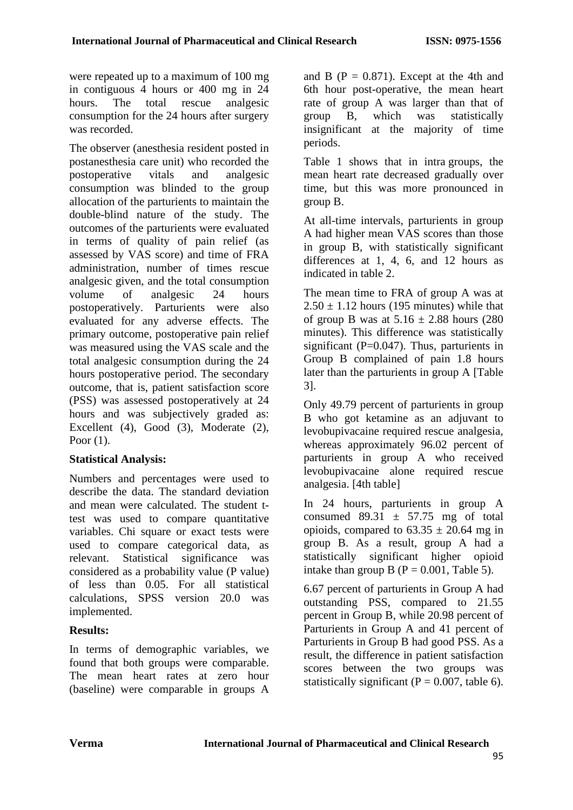were repeated up to a maximum of 100 mg in contiguous 4 hours or 400 mg in 24 hours. The total rescue analgesic consumption for the 24 hours after surgery was recorded.

The observer (anesthesia resident posted in postanesthesia care unit) who recorded the postoperative vitals and analgesic consumption was blinded to the group allocation of the parturients to maintain the double-blind nature of the study. The outcomes of the parturients were evaluated in terms of quality of pain relief (as assessed by VAS score) and time of FRA administration, number of times rescue analgesic given, and the total consumption volume of analgesic 24 hours postoperatively. Parturients were also evaluated for any adverse effects. The primary outcome, postoperative pain relief was measured using the VAS scale and the total analgesic consumption during the 24 hours postoperative period. The secondary outcome, that is, patient satisfaction score (PSS) was assessed postoperatively at 24 hours and was subjectively graded as: Excellent (4), Good (3), Moderate (2), Poor (1).

## **Statistical Analysis:**

Numbers and percentages were used to describe the data. The standard deviation and mean were calculated. The student ttest was used to compare quantitative variables. Chi square or exact tests were used to compare categorical data, as relevant. Statistical significance was considered as a probability value (P value) of less than 0.05. For all statistical calculations, SPSS version 20.0 was implemented.

# **Results:**

In terms of demographic variables, we found that both groups were comparable. The mean heart rates at zero hour (baseline) were comparable in groups A and B ( $P = 0.871$ ). Except at the 4th and 6th hour post-operative, the mean heart rate of group A was larger than that of group B, which was statistically insignificant at the majority of time periods.

Table 1 shows that in intra groups, the mean heart rate decreased gradually over time, but this was more pronounced in group B.

At all-time intervals, parturients in group A had higher mean VAS scores than those in group B, with statistically significant differences at 1, 4, 6, and 12 hours as indicated in table 2.

The mean time to FRA of group A was at  $2.50 \pm 1.12$  hours (195 minutes) while that of group B was at  $5.16 \pm 2.88$  hours (280) minutes). This difference was statistically significant ( $P=0.047$ ). Thus, parturients in Group B complained of pain 1.8 hours later than the parturients in group A [Table 3].

Only 49.79 percent of parturients in group B who got ketamine as an adjuvant to levobupivacaine required rescue analgesia, whereas approximately 96.02 percent of parturients in group A who received levobupivacaine alone required rescue analgesia. [4th table]

In 24 hours, parturients in group A consumed  $89.31 \pm 57.75$  mg of total opioids, compared to  $63.35 \pm 20.64$  mg in group B. As a result, group A had a statistically significant higher opioid intake than group B ( $P = 0.001$ , Table 5).

6.67 percent of parturients in Group A had outstanding PSS, compared to 21.55 percent in Group B, while 20.98 percent of Parturients in Group A and 41 percent of Parturients in Group B had good PSS. As a result, the difference in patient satisfaction scores between the two groups was statistically significant ( $P = 0.007$ , table 6).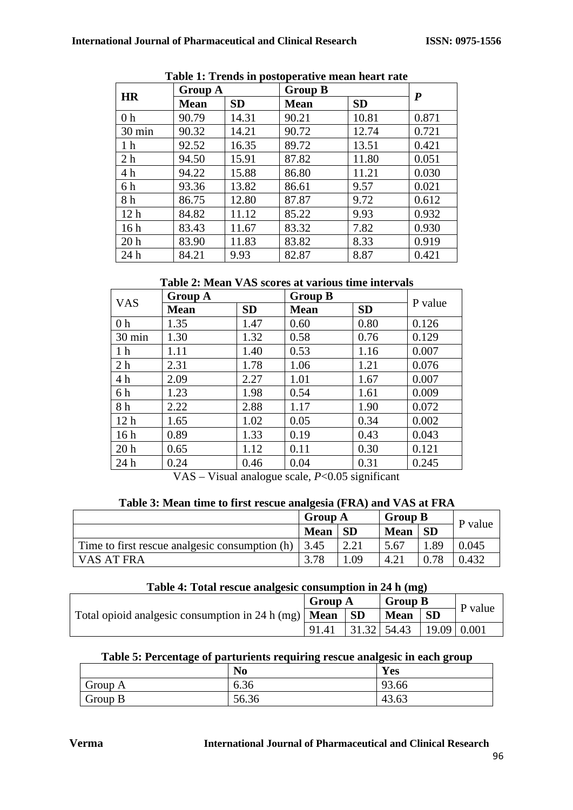| <b>HR</b>       | <b>Group A</b> |           | <b>Group B</b> | $\boldsymbol{P}$ |       |
|-----------------|----------------|-----------|----------------|------------------|-------|
|                 | <b>Mean</b>    | <b>SD</b> | <b>Mean</b>    | <b>SD</b>        |       |
| 0 <sub>h</sub>  | 90.79          | 14.31     | 90.21          | 10.81            | 0.871 |
| 30 min          | 90.32          | 14.21     | 90.72          | 12.74            | 0.721 |
| 1 <sub>h</sub>  | 92.52          | 16.35     | 89.72          | 13.51            | 0.421 |
| 2 <sub>h</sub>  | 94.50          | 15.91     | 87.82          | 11.80            | 0.051 |
| 4 h             | 94.22          | 15.88     | 86.80          | 11.21            | 0.030 |
| 6 h             | 93.36          | 13.82     | 86.61          | 9.57             | 0.021 |
| 8 h             | 86.75          | 12.80     | 87.87          | 9.72             | 0.612 |
| 12 <sub>h</sub> | 84.82          | 11.12     | 85.22          | 9.93             | 0.932 |
| 16 <sub>h</sub> | 83.43          | 11.67     | 83.32          | 7.82             | 0.930 |
| 20 <sub>h</sub> | 83.90          | 11.83     | 83.82          | 8.33             | 0.919 |
| 24h             | 84.21          | 9.93      | 82.87          | 8.87             | 0.421 |

**Table 1: Trends in postoperative mean heart rate**

**Table 2: Mean VAS scores at various time intervals**

| <b>VAS</b>      | <b>Group A</b> |           | <b>Group B</b> | P value   |       |
|-----------------|----------------|-----------|----------------|-----------|-------|
|                 | <b>Mean</b>    | <b>SD</b> | <b>Mean</b>    | <b>SD</b> |       |
| 0 <sub>h</sub>  | 1.35           | 1.47      | 0.60           | 0.80      | 0.126 |
| 30 min          | 1.30           | 1.32      | 0.58           | 0.76      | 0.129 |
| 1 <sub>h</sub>  | 1.11           | 1.40      | 0.53           | 1.16      | 0.007 |
| 2 <sub>h</sub>  | 2.31           | 1.78      | 1.06           | 1.21      | 0.076 |
| 4h              | 2.09           | 2.27      | 1.01           | 1.67      | 0.007 |
| 6 h             | 1.23           | 1.98      | 0.54           | 1.61      | 0.009 |
| 8 h             | 2.22           | 2.88      | 1.17           | 1.90      | 0.072 |
| 12 <sub>h</sub> | 1.65           | 1.02      | 0.05           | 0.34      | 0.002 |
| 16 <sub>h</sub> | 0.89           | 1.33      | 0.19           | 0.43      | 0.043 |
| 20 <sub>h</sub> | 0.65           | 1.12      | 0.11           | 0.30      | 0.121 |
| 24 h            | 0.24           | 0.46      | 0.04           | 0.31      | 0.245 |

VAS – Visual analogue scale, *P*<0.05 significant

|--|

|                                                            | <b>Group A</b><br><b>SD</b><br><b>Mean</b> |      | <b>Group B</b> | P value   |       |
|------------------------------------------------------------|--------------------------------------------|------|----------------|-----------|-------|
|                                                            |                                            |      | <b>Mean</b>    | <b>SD</b> |       |
| Time to first rescue analgesic consumption (h) $\mid$ 3.45 |                                            | 2.21 | 5.67           | 1.89      | 0.045 |
| VAS AT FRA                                                 | 3.78                                       | .09  | 4.21           | 0.78      | 0.432 |

## **Table 4: Total rescue analgesic consumption in 24 h (mg)**

|                                                                           | <b>Group A</b> |               | <b>Group B</b> |                             |         |  |
|---------------------------------------------------------------------------|----------------|---------------|----------------|-----------------------------|---------|--|
| Total opioid analgesic consumption in 24 h (mg)   <b>Mean</b>   <b>SD</b> |                |               | <b>Mean</b>    | $\overline{\phantom{a}}$ SD | P value |  |
|                                                                           | 91.41          | $31.32$ 54.43 |                | $\mid$ 19.09   0.001        |         |  |

## **Table 5: Percentage of parturients requiring rescue analgesic in each group**

|         | N <sub>o</sub> | Yes   |
|---------|----------------|-------|
| Group A | 6.36           | 93.66 |
| Group B | 56.36          | 43.63 |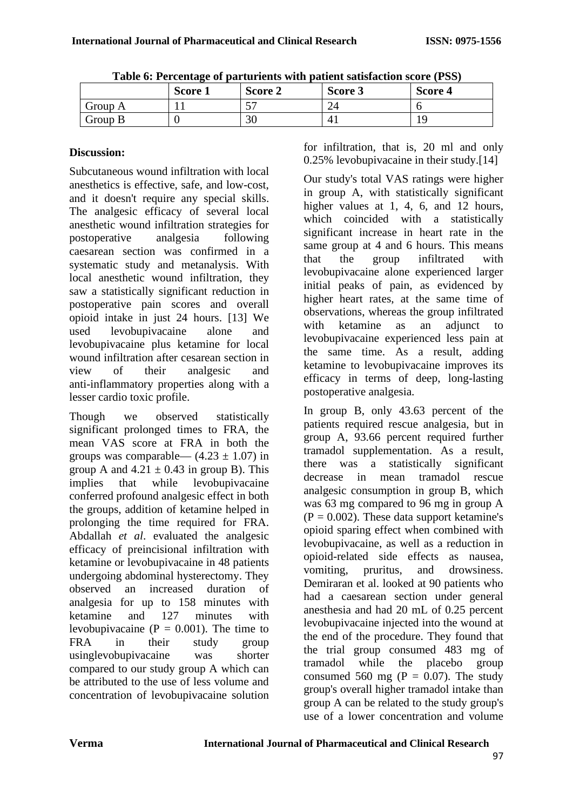|         | Score 1 | Score 2 | Score 3     | Score 4 |
|---------|---------|---------|-------------|---------|
| Group A |         | E<br>◡  | $\sim$<br>▱ |         |
| Group B |         | 30      |             |         |

|  |  |  | Table 6: Percentage of parturients with patient satisfaction score (PSS) |  |
|--|--|--|--------------------------------------------------------------------------|--|
|  |  |  |                                                                          |  |

# **Discussion:**

Subcutaneous wound infiltration with local anesthetics is effective, safe, and low-cost, and it doesn't require any special skills. The analgesic efficacy of several local anesthetic wound infiltration strategies for postoperative analgesia following caesarean section was confirmed in a systematic study and metanalysis. With local anesthetic wound infiltration, they saw a statistically significant reduction in postoperative pain scores and overall opioid intake in just 24 hours. [13] We used levobupivacaine alone and levobupivacaine plus ketamine for local wound infiltration after cesarean section in view of their analgesic and anti-inflammatory properties along with a lesser cardio toxic profile.

Though we observed statistically significant prolonged times to FRA, the mean VAS score at FRA in both the groups was comparable—  $(4.23 \pm 1.07)$  in group A and  $4.21 \pm 0.43$  in group B). This implies that while levobupivacaine conferred profound analgesic effect in both the groups, addition of ketamine helped in prolonging the time required for FRA. Abdallah *et al*. evaluated the analgesic efficacy of preincisional infiltration with ketamine or levobupivacaine in 48 patients undergoing abdominal hysterectomy. They observed an increased duration of analgesia for up to 158 minutes with ketamine and 127 minutes with levobupivacaine ( $P = 0.001$ ). The time to FRA in their study group usinglevobupivacaine was shorter compared to our study group A which can be attributed to the use of less volume and concentration of levobupivacaine solution for infiltration, that is, 20 ml and only 0.25% levobupivacaine in their study.[14]

Our study's total VAS ratings were higher in group A, with statistically significant higher values at 1, 4, 6, and 12 hours, which coincided with a statistically significant increase in heart rate in the same group at 4 and 6 hours. This means that the group infiltrated with levobupivacaine alone experienced larger initial peaks of pain, as evidenced by higher heart rates, at the same time of observations, whereas the group infiltrated with ketamine as an adjunct to levobupivacaine experienced less pain at the same time. As a result, adding ketamine to levobupivacaine improves its efficacy in terms of deep, long-lasting postoperative analgesia.

In group B, only 43.63 percent of the patients required rescue analgesia, but in group A, 93.66 percent required further tramadol supplementation. As a result, there was a statistically significant decrease in mean tramadol rescue analgesic consumption in group B, which was 63 mg compared to 96 mg in group A  $(P = 0.002)$ . These data support ketamine's opioid sparing effect when combined with levobupivacaine, as well as a reduction in opioid-related side effects as nausea, vomiting, pruritus, and drowsiness. Demiraran et al. looked at 90 patients who had a caesarean section under general anesthesia and had 20 mL of 0.25 percent levobupivacaine injected into the wound at the end of the procedure. They found that the trial group consumed 483 mg of tramadol while the placebo group consumed 560 mg ( $P = 0.07$ ). The study group's overall higher tramadol intake than group A can be related to the study group's use of a lower concentration and volume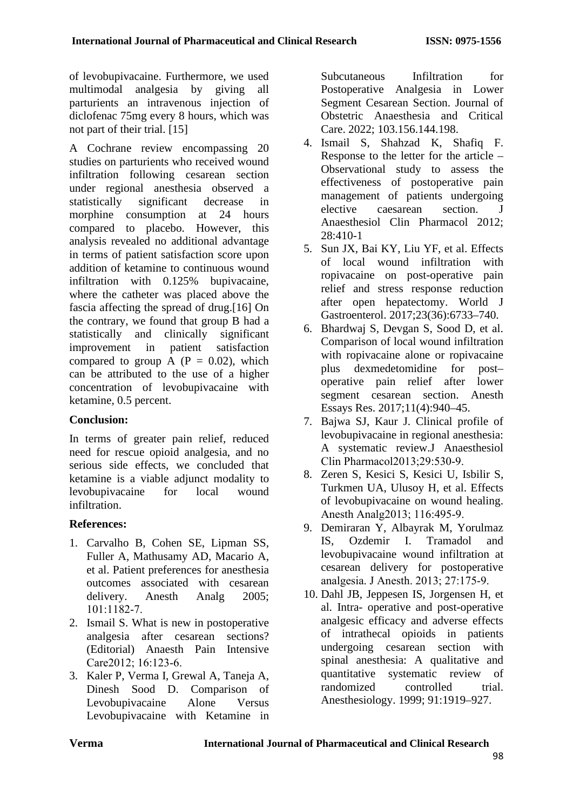of levobupivacaine. Furthermore, we used multimodal analgesia by giving all parturients an intravenous injection of diclofenac 75mg every 8 hours, which was not part of their trial. [15]

A Cochrane review encompassing 20 studies on parturients who received wound infiltration following cesarean section under regional anesthesia observed a statistically significant decrease in morphine consumption at 24 hours compared to placebo. However, this analysis revealed no additional advantage in terms of patient satisfaction score upon addition of ketamine to continuous wound infiltration with 0.125% bupivacaine, where the catheter was placed above the fascia affecting the spread of drug.[16] On the contrary, we found that group B had a statistically and clinically significant improvement in patient satisfaction compared to group A  $(P = 0.02)$ , which can be attributed to the use of a higher concentration of levobupivacaine with ketamine, 0.5 percent.

# **Conclusion:**

In terms of greater pain relief, reduced need for rescue opioid analgesia, and no serious side effects, we concluded that ketamine is a viable adjunct modality to levobupivacaine for local wound infiltration.

# **References:**

- 1. Carvalho B, Cohen SE, Lipman SS, Fuller A, Mathusamy AD, Macario A, et al. Patient preferences for anesthesia outcomes associated with cesarean delivery. Anesth Analg 2005: 101:1182‑7.
- 2. Ismail S. What is new in postoperative analgesia after cesarean sections? (Editorial) Anaesth Pain Intensive Care2012; 16:123-6.
- 3. Kaler P, Verma I, Grewal A, Taneja A, Dinesh Sood D. Comparison of Levobupivacaine Alone Versus Levobupivacaine with Ketamine in

Subcutaneous Infiltration for Postoperative Analgesia in Lower Segment Cesarean Section. Journal of Obstetric Anaesthesia and Critical Care. 2022; 103.156.144.198.

- 4. Ismail S, Shahzad K, Shafiq F. Response to the letter for the article – Observational study to assess the effectiveness of postoperative pain management of patients undergoing elective caesarean section. Anaesthesiol Clin Pharmacol 2012; 28:410-1
- 5. Sun JX, Bai KY, Liu YF, et al. Effects of local wound infiltration with ropivacaine on post-operative pain relief and stress response reduction after open hepatectomy. World J Gastroenterol. 2017;23(36):6733–740.
- 6. Bhardwaj S, Devgan S, Sood D, et al. Comparison of local wound infiltration with ropivacaine alone or ropivacaine plus dexmedetomidine for post– operative pain relief after lower segment cesarean section. Anesth Essays Res. 2017;11(4):940–45.
- 7. Bajwa SJ, Kaur J. Clinical profile of levobupivacaine in regional anesthesia: A systematic review.J Anaesthesiol Clin Pharmacol2013;29:530‑9.
- 8. Zeren S, Kesici S, Kesici U, Isbilir S, Turkmen UA, Ulusoy H, et al. Effects of levobupivacaine on wound healing. Anesth Analg2013; 116:495‑9.
- 9. Demiraran Y, Albayrak M, Yorulmaz IS, Ozdemir I. Tramadol and levobupivacaine wound infiltration at cesarean delivery for postoperative analgesia. J Anesth. 2013; 27:175‑9.
- 10. Dahl JB, Jeppesen IS, Jorgensen H, et al. Intra- operative and post-operative analgesic efficacy and adverse effects of intrathecal opioids in patients undergoing cesarean section with spinal anesthesia: A qualitative and quantitative systematic review of randomized controlled trial. Anesthesiology. 1999; 91:1919–927.